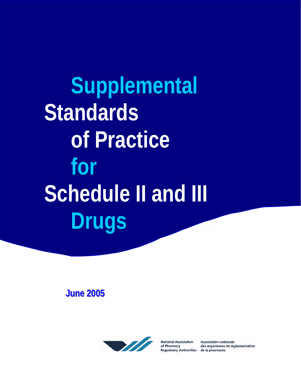**Supplemental Standards of Practice for Schedule II and III Drugs** 

**June 2005** 



**National Association** of Pharmacy **Regulatory Authorities** 

**Association nationale** des organismes de réglementation de la pharmacie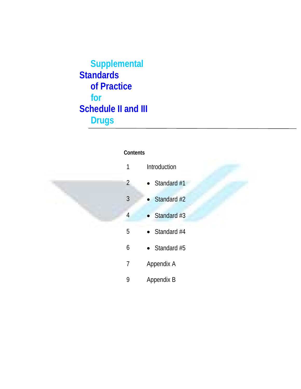**Supplemental Standards of Practice for Schedule II and III Drugs** 

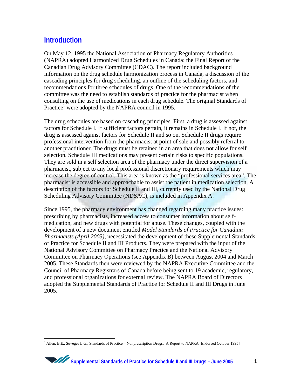### **Introduction**

On May 12, 1995 the National Association of Pharmacy Regulatory Authorities (NAPRA) adopted Harmonized Drug Schedules in Canada: the Final Report of the Canadian Drug Advisory Committee (CDAC). The report included background information on the drug schedule harmonization process in Canada, a discussion of the cascading principles for drug scheduling, an outline of the scheduling factors, and recommendations for three schedules of drugs. One of the recommendations of the committee was the need to establish standards of practice for the pharmacist when consulting on the use of medications in each drug schedule. The original Standards of Practice<sup>[1](#page-2-0)</sup> were adopted by the NAPRA council in 1995.

The drug schedules are based on cascading principles. First, a drug is assessed against factors for Schedule I. If sufficient factors pertain, it remains in Schedule I. If not, the drug is assessed against factors for Schedule II and so on. Schedule II drugs require professional intervention from the pharmacist at point of sale and possibly referral to another practitioner. The drugs must be retained in an area that does not allow for self selection. Schedule III medications may present certain risks to specific populations. They are sold in a self selection area of the pharmacy under the direct supervision of a pharmacist, subject to any local professional discretionary requirements which may increase the degree of control. This area is known as the "professional services area". The pharmacist is accessible and approachable to assist the patient in medication selection. A description of the factors for Schedule II and III, currently used by the National Drug Scheduling Advisory Committee (NDSAC), is included in Appendix A.

Since 1995, the pharmacy environment has changed regarding many practice issues: prescribing by pharmacists, increased access to consumer information about selfmedication, and new drugs with potential for abuse. These changes, coupled with the development of a new document entitled *Model Standards of Practice for Canadian Pharmacists (April 2003)*, necessitated the development of these Supplemental Standards of Practice for Schedule II and III Products. They were prepared with the input of the National Advisory Committee on Pharmacy Practice and the National Advisory Committee on Pharmacy Operations (see Appendix B) between August 2004 and March 2005. These Standards then were reviewed by the NAPRA Executive Committee and the Council of Pharmacy Registrars of Canada before being sent to 19 academic, regulatory, and professional organizations for external review. The NAPRA Board of Directors adopted the Supplemental Standards of Practice for Schedule II and III Drugs in June 2005.

<span id="page-2-0"></span> $\overline{a}$ <sup>1</sup> Allen, B.E., Suveges L.G., Standards of Practice - Nonprescription Drugs: A Report to NAPRA [Endorsed October 1995]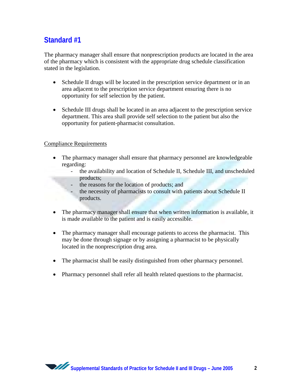The pharmacy manager shall ensure that nonprescription products are located in the area of the pharmacy which is consistent with the appropriate drug schedule classification stated in the legislation.

- Schedule II drugs will be located in the prescription service department or in an area adjacent to the prescription service department ensuring there is no opportunity for self selection by the patient.
- Schedule III drugs shall be located in an area adjacent to the prescription service department. This area shall provide self selection to the patient but also the opportunity for patient-pharmacist consultation.

- The pharmacy manager shall ensure that pharmacy personnel are knowledgeable regarding:
	- the availability and location of Schedule II, Schedule III, and unscheduled products;
	- the reasons for the location of products; and
	- the necessity of pharmacists to consult with patients about Schedule II products.
- The pharmacy manager shall ensure that when written information is available, it is made available to the patient and is easily accessible.
- The pharmacy manager shall encourage patients to access the pharmacist. This may be done through signage or by assigning a pharmacist to be physically located in the nonprescription drug area.
- The pharmacist shall be easily distinguished from other pharmacy personnel.
- Pharmacy personnel shall refer all health related questions to the pharmacist.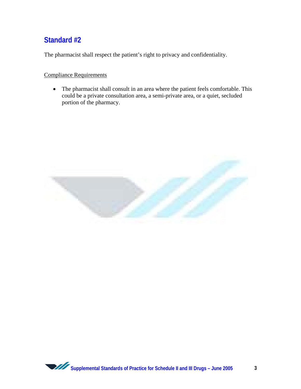The pharmacist shall respect the patient's right to privacy and confidentiality.

### Compliance Requirements

• The pharmacist shall consult in an area where the patient feels comfortable. This could be a private consultation area, a semi-private area, or a quiet, secluded portion of the pharmacy.

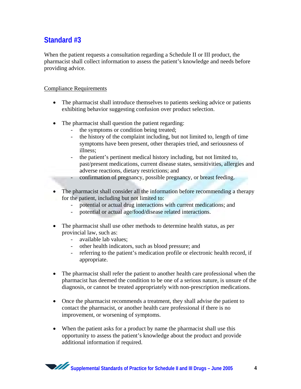When the patient requests a consultation regarding a Schedule II or III product, the pharmacist shall collect information to assess the patient's knowledge and needs before providing advice.

- The pharmacist shall introduce themselves to patients seeking advice or patients exhibiting behavior suggesting confusion over product selection.
- The pharmacist shall question the patient regarding:
	- the symptoms or condition being treated;
	- the history of the complaint including, but not limited to, length of time symptoms have been present, other therapies tried, and seriousness of illness;
	- the patient's pertinent medical history including, but not limited to, past/present medications, current disease states, sensitivities, allergies and adverse reactions, dietary restrictions; and
	- confirmation of pregnancy, possible pregnancy, or breast feeding.
- The pharmacist shall consider all the information before recommending a therapy for the patient, including but not limited to:
	- potential or actual drug interactions with current medications; and
	- potential or actual age/food/disease related interactions.
- The pharmacist shall use other methods to determine health status, as per provincial law, such as:
	- available lab values;
	- other health indicators, such as blood pressure; and
	- referring to the patient's medication profile or electronic health record, if appropriate.
- The pharmacist shall refer the patient to another health care professional when the pharmacist has deemed the condition to be one of a serious nature, is unsure of the diagnosis, or cannot be treated appropriately with non-prescription medications.
- Once the pharmacist recommends a treatment, they shall advise the patient to contact the pharmacist, or another health care professional if there is no improvement, or worsening of symptoms.
- When the patient asks for a product by name the pharmacist shall use this opportunity to assess the patient's knowledge about the product and provide additional information if required.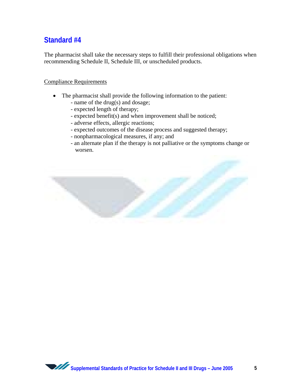The pharmacist shall take the necessary steps to fulfill their professional obligations when recommending Schedule II, Schedule III, or unscheduled products.

- The pharmacist shall provide the following information to the patient:
	- name of the drug(s) and dosage;
	- expected length of therapy;
	- expected benefit(s) and when improvement shall be noticed;
	- adverse effects, allergic reactions;
	- expected outcomes of the disease process and suggested therapy;
	- nonpharmacological measures, if any; and
	- an alternate plan if the therapy is not palliative or the symptoms change or worsen.



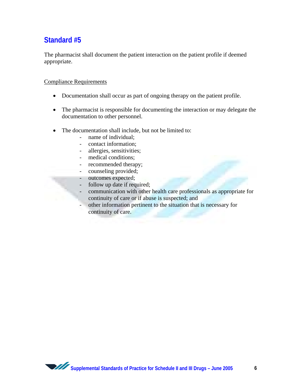The pharmacist shall document the patient interaction on the patient profile if deemed appropriate.

- Documentation shall occur as part of ongoing therapy on the patient profile.
- The pharmacist is responsible for documenting the interaction or may delegate the documentation to other personnel.
- The documentation shall include, but not be limited to:
	- name of individual;
	- contact information;
	- allergies, sensitivities;
	- medical conditions;
	- recommended therapy;
	- counseling provided;
	- outcomes expected;
	- follow up date if required;
		- communication with other health care professionals as appropriate for continuity of care or if abuse is suspected; and
	- other information pertinent to the situation that is necessary for continuity of care.

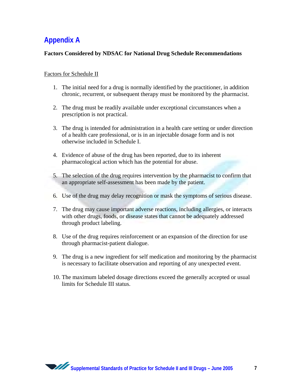# **Appendix A**

### **Factors Considered by NDSAC for National Drug Schedule Recommendations**

#### Factors for Schedule II

- 1. The initial need for a drug is normally identified by the practitioner, in addition chronic, recurrent, or subsequent therapy must be monitored by the pharmacist.
- 2. The drug must be readily available under exceptional circumstances when a prescription is not practical.
- 3. The drug is intended for administration in a health care setting or under direction of a health care professional, or is in an injectable dosage form and is not otherwise included in Schedule I.
- 4. Evidence of abuse of the drug has been reported, due to its inherent pharmacological action which has the potential for abuse.
- 5. The selection of the drug requires intervention by the pharmacist to confirm that an appropriate self-assessment has been made by the patient.
- 6. Use of the drug may delay recognition or mask the symptoms of serious disease.
- 7. The drug may cause important adverse reactions, including allergies, or interacts with other drugs, foods, or disease states that cannot be adequately addressed through product labeling.
- 8. Use of the drug requires reinforcement or an expansion of the direction for use through pharmacist-patient dialogue.
- 9. The drug is a new ingredient for self medication and monitoring by the pharmacist is necessary to facilitate observation and reporting of any unexpected event.
- 10. The maximum labeled dosage directions exceed the generally accepted or usual limits for Schedule III status.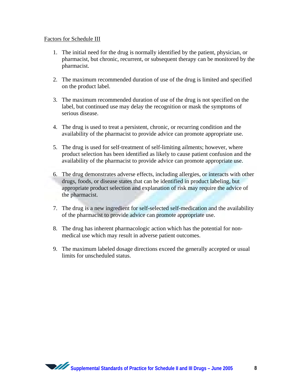#### Factors for Schedule III

- 1. The initial need for the drug is normally identified by the patient, physician, or pharmacist, but chronic, recurrent, or subsequent therapy can be monitored by the pharmacist.
- 2. The maximum recommended duration of use of the drug is limited and specified on the product label.
- 3. The maximum recommended duration of use of the drug is not specified on the label, but continued use may delay the recognition or mask the symptoms of serious disease.
- 4. The drug is used to treat a persistent, chronic, or recurring condition and the availability of the pharmacist to provide advice can promote appropriate use.
- 5. The drug is used for self-treatment of self-limiting ailments; however, where product selection has been identified as likely to cause patient confusion and the availability of the pharmacist to provide advice can promote appropriate use.
- 6. The drug demonstrates adverse effects, including allergies, or interacts with other drugs, foods, or disease states that can be identified in product labeling, but appropriate product selection and explanation of risk may require the advice of the pharmacist.
- 7. The drug is a new ingredient for self-selected self-medication and the availability of the pharmacist to provide advice can promote appropriate use.
- 8. The drug has inherent pharmacologic action which has the potential for nonmedical use which may result in adverse patient outcomes.
- 9. The maximum labeled dosage directions exceed the generally accepted or usual limits for unscheduled status.

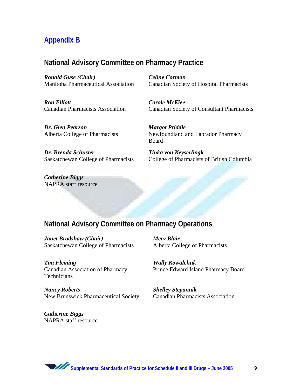# **Appendix B**

### **National Advisory Committee on Pharmacy Practice**

*Ronald Guse (Chair)*  Manitoba Pharmaceutical Association

*Ron Elliott*  Canadian Pharmacists Association *Celine Corman*  Canadian Society of Hospital Pharmacists

*Carole McKiee*  Canadian Society of Consultant Pharmacists

*Dr. Glen Pearson*  Alberta College of Pharmacists

*Margot Priddle*  Newfoundland and Labrador Pharmacy Board

*Dr. Brenda Schuster*  Saskatchewan College of Pharmacists *Tinka von Keyserlingk*  College of Pharmacists of British Columbia

*Catherine Biggs*  NAPRA staff resource

### **National Advisory Committee on Pharmacy Operations**

*Janet Bradshaw (Chair)*  Saskatchewan College of Pharmacists *Merv Blair*  Alberta College of Pharmacists

*Tim Fleming*  Canadian Association of Pharmacy **Technicians** 

*Nancy Roberts*  New Brunswick Pharmaceutical Society

*Catherine Biggs*  NAPRA staff resource *Wally Kowalchuk* 

Prince Edward Island Pharmacy Board

*Shelley Stepanuik*  Canadian Pharmacists Association